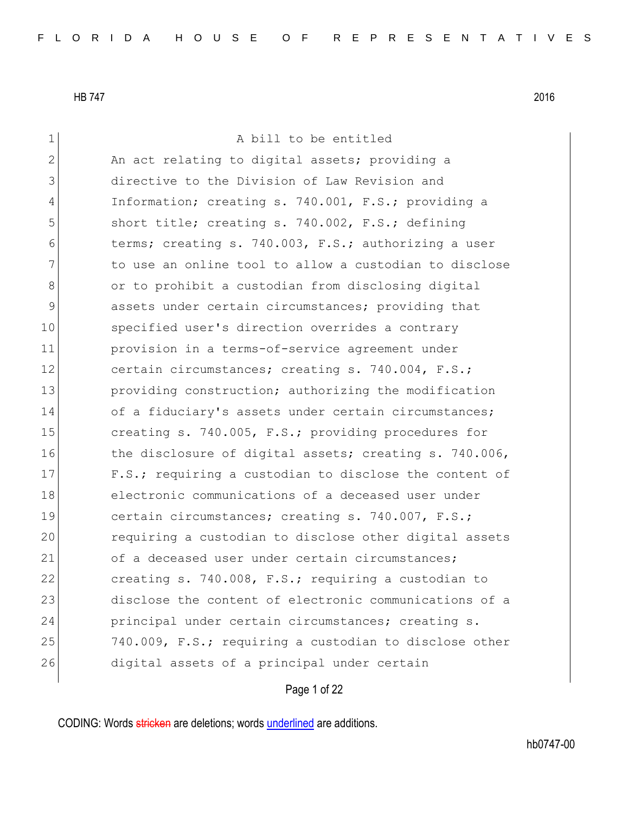| $\mathbf 1$    | A bill to be entitled                                  |
|----------------|--------------------------------------------------------|
| $\overline{2}$ | An act relating to digital assets; providing a         |
| 3              | directive to the Division of Law Revision and          |
| 4              | Information; creating s. 740.001, F.S.; providing a    |
| 5              | short title; creating s. 740.002, F.S.; defining       |
| 6              | terms; creating s. 740.003, F.S.; authorizing a user   |
| 7              | to use an online tool to allow a custodian to disclose |
| 8              | or to prohibit a custodian from disclosing digital     |
| 9              | assets under certain circumstances; providing that     |
| 10             | specified user's direction overrides a contrary        |
| 11             | provision in a terms-of-service agreement under        |
| 12             | certain circumstances; creating s. 740.004, F.S.;      |
| 13             | providing construction; authorizing the modification   |
| 14             | of a fiduciary's assets under certain circumstances;   |
| 15             | creating s. 740.005, F.S.; providing procedures for    |
| 16             | the disclosure of digital assets; creating s. 740.006, |
| 17             | F.S.; requiring a custodian to disclose the content of |
| 18             | electronic communications of a deceased user under     |
| 19             | certain circumstances; creating s. 740.007, F.S.;      |
| 20             | requiring a custodian to disclose other digital assets |
| 21             | of a deceased user under certain circumstances;        |
| 22             | creating s. 740.008, F.S.; requiring a custodian to    |
| 23             | disclose the content of electronic communications of a |
| 24             | principal under certain circumstances; creating s.     |
| 25             | 740.009, F.S.; requiring a custodian to disclose other |
| 26             | digital assets of a principal under certain            |
|                |                                                        |

Page 1 of 22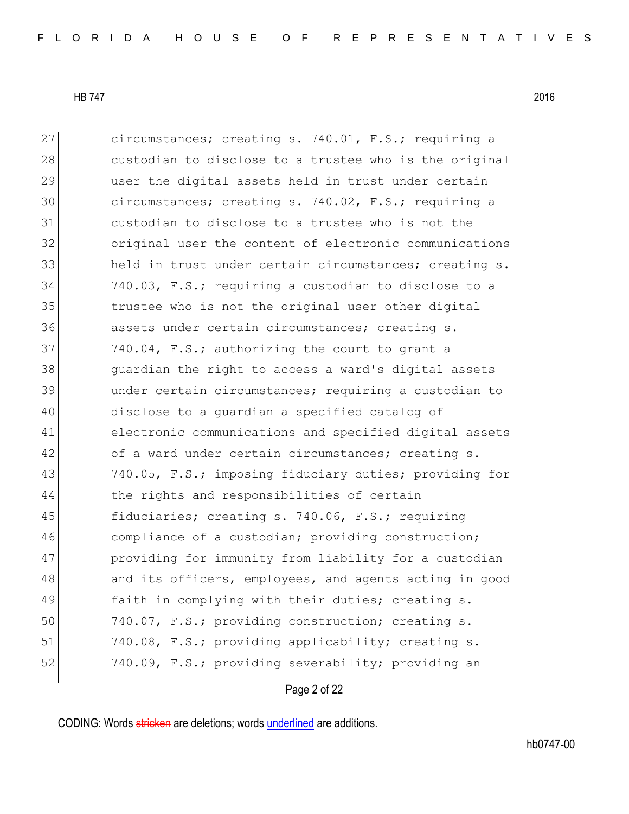27 circumstances; creating s. 740.01, F.S.; requiring a 28 custodian to disclose to a trustee who is the original 29 user the digital assets held in trust under certain 30 circumstances; creating s. 740.02, F.S.; requiring a 31 custodian to disclose to a trustee who is not the 32 original user the content of electronic communications 33 held in trust under certain circumstances; creating s. 34 740.03, F.S.; requiring a custodian to disclose to a 35 trustee who is not the original user other digital 36 assets under certain circumstances; creating s. 37 740.04, F.S.; authorizing the court to grant a 38 guardian the right to access a ward's digital assets 39 under certain circumstances; requiring a custodian to 40 disclose to a guardian a specified catalog of 41 electronic communications and specified digital assets 42 of a ward under certain circumstances; creating s. 43 740.05, F.S.; imposing fiduciary duties; providing for 44 the rights and responsibilities of certain 45 fiduciaries; creating s. 740.06, F.S.; requiring 46 compliance of a custodian; providing construction; 47 providing for immunity from liability for a custodian 48 and its officers, employees, and agents acting in good 49 faith in complying with their duties; creating s. 50 740.07, F.S.; providing construction; creating s. 51 740.08, F.S.; providing applicability; creating s. 52 740.09, F.S.; providing severability; providing an

Page 2 of 22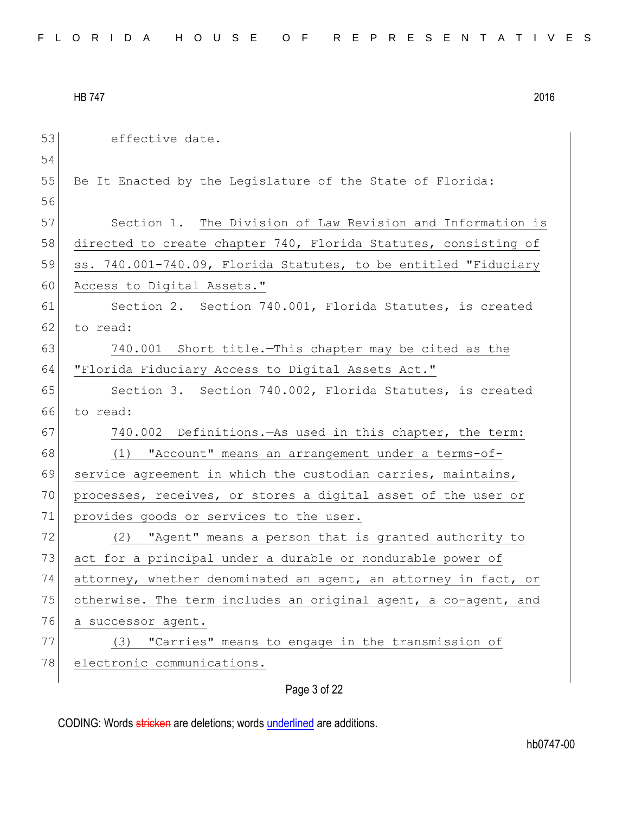| 53 | effective date.                                                 |
|----|-----------------------------------------------------------------|
| 54 |                                                                 |
| 55 | Be It Enacted by the Legislature of the State of Florida:       |
| 56 |                                                                 |
| 57 | Section 1. The Division of Law Revision and Information is      |
| 58 | directed to create chapter 740, Florida Statutes, consisting of |
| 59 | ss. 740.001-740.09, Florida Statutes, to be entitled "Fiduciary |
| 60 | Access to Digital Assets."                                      |
| 61 | Section 2. Section 740.001, Florida Statutes, is created        |
| 62 | to read:                                                        |
| 63 | 740.001 Short title. This chapter may be cited as the           |
| 64 | "Florida Fiduciary Access to Digital Assets Act."               |
| 65 | Section 3. Section 740.002, Florida Statutes, is created        |
| 66 | to read:                                                        |
| 67 | 740.002 Definitions. As used in this chapter, the term:         |
| 68 | "Account" means an arrangement under a terms-of-<br>(1)         |
| 69 | service agreement in which the custodian carries, maintains,    |
| 70 | processes, receives, or stores a digital asset of the user or   |
| 71 | provides goods or services to the user.                         |
| 72 | "Agent" means a person that is granted authority to<br>(2)      |
| 73 | act for a principal under a durable or nondurable power of      |
| 74 | attorney, whether denominated an agent, an attorney in fact, or |
| 75 | otherwise. The term includes an original agent, a co-agent, and |
| 76 | a successor agent.                                              |
| 77 | "Carries" means to engage in the transmission of<br>(3)         |
| 78 | electronic communications.                                      |
|    | Page 3 of 22                                                    |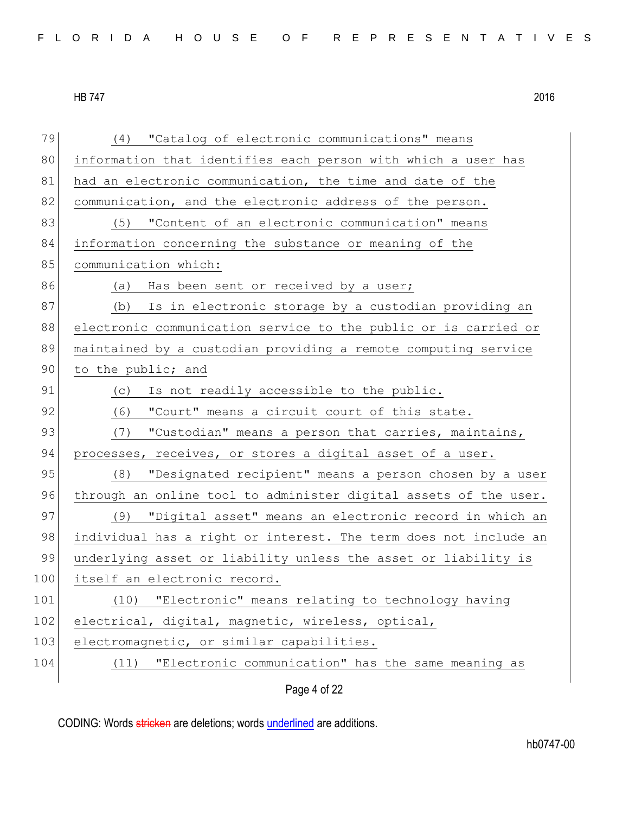Page 4 of 22 79 (4) "Catalog of electronic communications" means 80 information that identifies each person with which a user has 81 had an electronic communication, the time and date of the 82 communication, and the electronic address of the person. 83 (5) "Content of an electronic communication" means 84 information concerning the substance or meaning of the 85 communication which: 86 (a) Has been sent or received by a user; 87 (b) Is in electronic storage by a custodian providing an 88 electronic communication service to the public or is carried or 89 maintained by a custodian providing a remote computing service 90 to the public; and 91 (c) Is not readily accessible to the public. 92 (6) "Court" means a circuit court of this state. 93 (7) "Custodian" means a person that carries, maintains, 94 processes, receives, or stores a digital asset of a user. 95 (8) "Designated recipient" means a person chosen by a user 96 through an online tool to administer digital assets of the user. 97 (9) "Digital asset" means an electronic record in which an 98 individual has a right or interest. The term does not include an 99 underlying asset or liability unless the asset or liability is 100 itself an electronic record. 101 (10) "Electronic" means relating to technology having 102 electrical, digital, magnetic, wireless, optical, 103 electromagnetic, or similar capabilities. 104 (11) "Electronic communication" has the same meaning as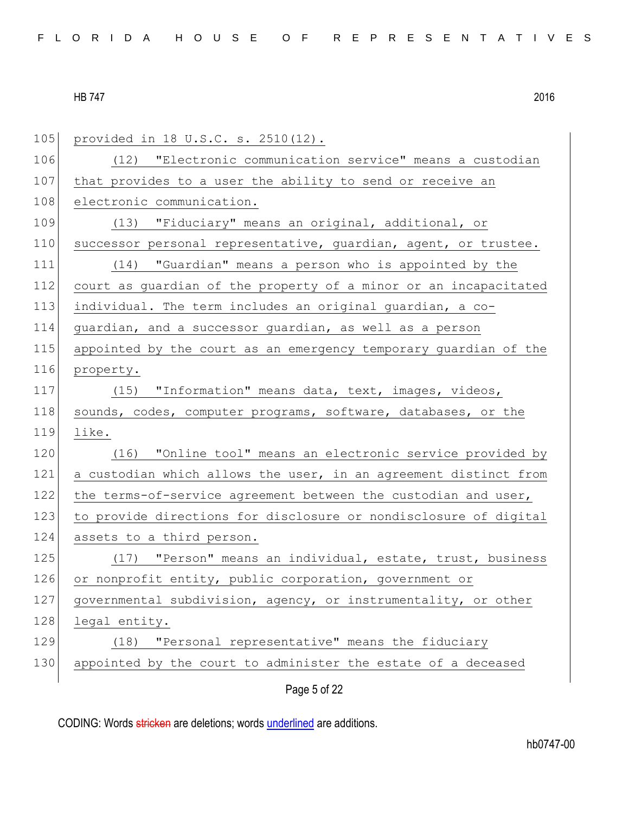| 105 | provided in 18 U.S.C. s. 2510(12).                               |
|-----|------------------------------------------------------------------|
| 106 | (12) "Electronic communication service" means a custodian        |
| 107 | that provides to a user the ability to send or receive an        |
| 108 | electronic communication.                                        |
| 109 | (13) "Fiduciary" means an original, additional, or               |
| 110 | successor personal representative, guardian, agent, or trustee.  |
| 111 | (14) "Guardian" means a person who is appointed by the           |
| 112 | court as guardian of the property of a minor or an incapacitated |
| 113 | individual. The term includes an original guardian, a co-        |
| 114 | guardian, and a successor guardian, as well as a person          |
| 115 | appointed by the court as an emergency temporary guardian of the |
| 116 | property.                                                        |
| 117 | (15) "Information" means data, text, images, videos,             |
| 118 | sounds, codes, computer programs, software, databases, or the    |
| 119 | like.                                                            |
| 120 | (16) "Online tool" means an electronic service provided by       |
| 121 | a custodian which allows the user, in an agreement distinct from |
| 122 | the terms-of-service agreement between the custodian and user,   |
| 123 | to provide directions for disclosure or nondisclosure of digital |
| 124 | assets to a third person.                                        |
| 125 | (17) "Person" means an individual, estate, trust, business       |
| 126 | or nonprofit entity, public corporation, government or           |
| 127 | governmental subdivision, agency, or instrumentality, or other   |
| 128 | legal entity.                                                    |
| 129 | "Personal representative" means the fiduciary<br>(18)            |
| 130 | appointed by the court to administer the estate of a deceased    |
|     | Page 5 of 22                                                     |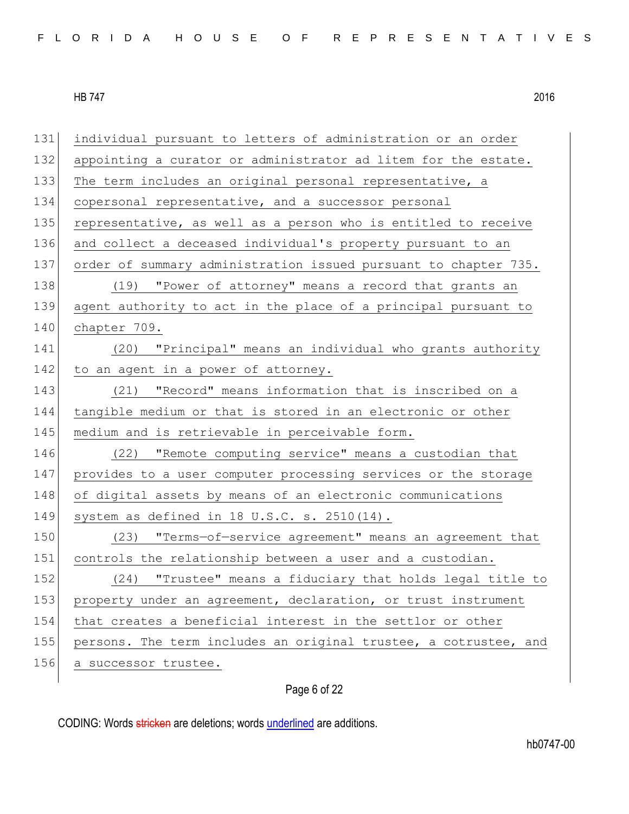| 131 | individual pursuant to letters of administration or an order     |
|-----|------------------------------------------------------------------|
| 132 | appointing a curator or administrator ad litem for the estate.   |
| 133 | The term includes an original personal representative, a         |
| 134 | copersonal representative, and a successor personal              |
| 135 | representative, as well as a person who is entitled to receive   |
| 136 | and collect a deceased individual's property pursuant to an      |
| 137 | order of summary administration issued pursuant to chapter 735.  |
| 138 | (19) "Power of attorney" means a record that grants an           |
| 139 | agent authority to act in the place of a principal pursuant to   |
| 140 | chapter 709.                                                     |
| 141 | (20) "Principal" means an individual who grants authority        |
| 142 | to an agent in a power of attorney.                              |
| 143 | (21) "Record" means information that is inscribed on a           |
| 144 | tangible medium or that is stored in an electronic or other      |
| 145 | medium and is retrievable in perceivable form.                   |
| 146 | (22) "Remote computing service" means a custodian that           |
| 147 | provides to a user computer processing services or the storage   |
| 148 | of digital assets by means of an electronic communications       |
| 149 | system as defined in $18$ U.S.C. s. $2510(14)$ .                 |
| 150 | "Terms-of-service agreement" means an agreement that<br>(23)     |
| 151 | controls the relationship between a user and a custodian.        |
| 152 | "Trustee" means a fiduciary that holds legal title to<br>(24)    |
| 153 | property under an agreement, declaration, or trust instrument    |
| 154 | that creates a beneficial interest in the settlor or other       |
| 155 | persons. The term includes an original trustee, a cotrustee, and |
| 156 | a successor trustee.                                             |
|     |                                                                  |

# Page 6 of 22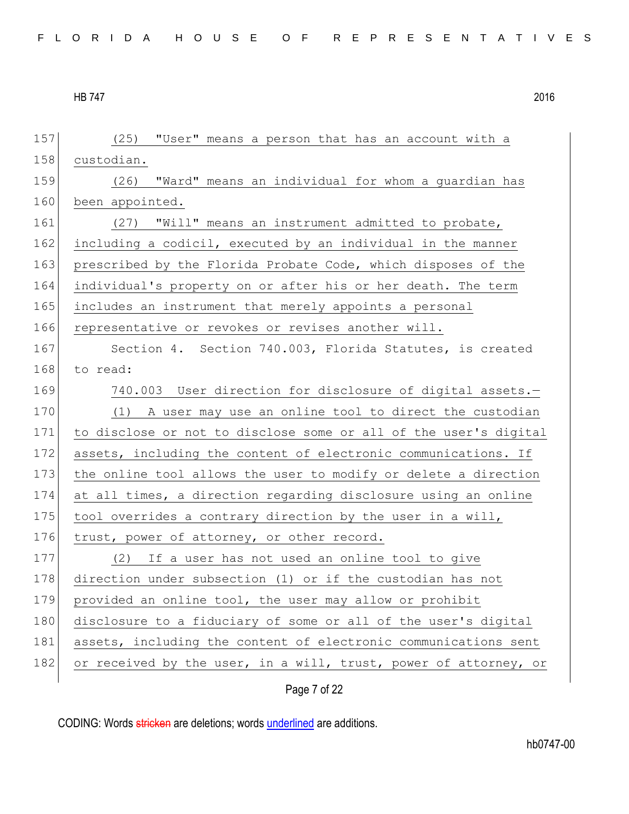| 157 | "User" means a person that has an account with a<br>(25)         |
|-----|------------------------------------------------------------------|
| 158 | custodian.                                                       |
| 159 | "Ward" means an individual for whom a guardian has<br>(26)       |
| 160 | been appointed.                                                  |
| 161 | (27) "Will" means an instrument admitted to probate,             |
| 162 | including a codicil, executed by an individual in the manner     |
| 163 | prescribed by the Florida Probate Code, which disposes of the    |
| 164 | individual's property on or after his or her death. The term     |
| 165 | includes an instrument that merely appoints a personal           |
| 166 | representative or revokes or revises another will.               |
| 167 | Section 4. Section 740.003, Florida Statutes, is created         |
| 168 | to read:                                                         |
| 169 | 740.003 User direction for disclosure of digital assets.-        |
| 170 | (1) A user may use an online tool to direct the custodian        |
| 171 | to disclose or not to disclose some or all of the user's digital |
| 172 | assets, including the content of electronic communications. If   |
| 173 | the online tool allows the user to modify or delete a direction  |
| 174 | at all times, a direction regarding disclosure using an online   |
| 175 | tool overrides a contrary direction by the user in a will,       |
| 176 | trust, power of attorney, or other record.                       |
| 177 | (2) If a user has not used an online tool to give                |
| 178 | direction under subsection (1) or if the custodian has not       |
| 179 | provided an online tool, the user may allow or prohibit          |
| 180 | disclosure to a fiduciary of some or all of the user's digital   |
| 181 | assets, including the content of electronic communications sent  |
| 182 | or received by the user, in a will, trust, power of attorney, or |
|     |                                                                  |

Page 7 of 22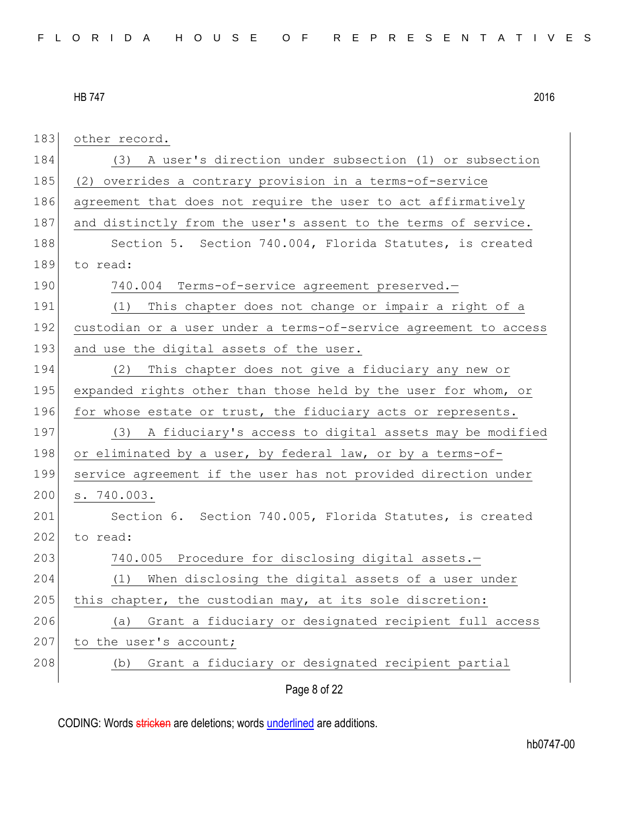Page 8 of 22 183 other record. 184 (3) A user's direction under subsection (1) or subsection 185 (2) overrides a contrary provision in a terms-of-service 186 agreement that does not require the user to act affirmatively 187 and distinctly from the user's assent to the terms of service. 188 Section 5. Section 740.004, Florida Statutes, is created 189 to read: 190 740.004 Terms-of-service agreement preserved.-191 (1) This chapter does not change or impair a right of a 192 custodian or a user under a terms-of-service agreement to access 193 and use the digital assets of the user. 194 (2) This chapter does not give a fiduciary any new or 195 expanded rights other than those held by the user for whom, or 196 for whose estate or trust, the fiduciary acts or represents. 197 (3) A fiduciary's access to digital assets may be modified 198 or eliminated by a user, by federal law, or by a terms-of-199 service agreement if the user has not provided direction under 200 s. 740.003. 201 Section 6. Section 740.005, Florida Statutes, is created 202 to read: 203 740.005 Procedure for disclosing digital assets.-204 (1) When disclosing the digital assets of a user under 205 this chapter, the custodian may, at its sole discretion: 206 (a) Grant a fiduciary or designated recipient full access 207 to the user's account; 208 (b) Grant a fiduciary or designated recipient partial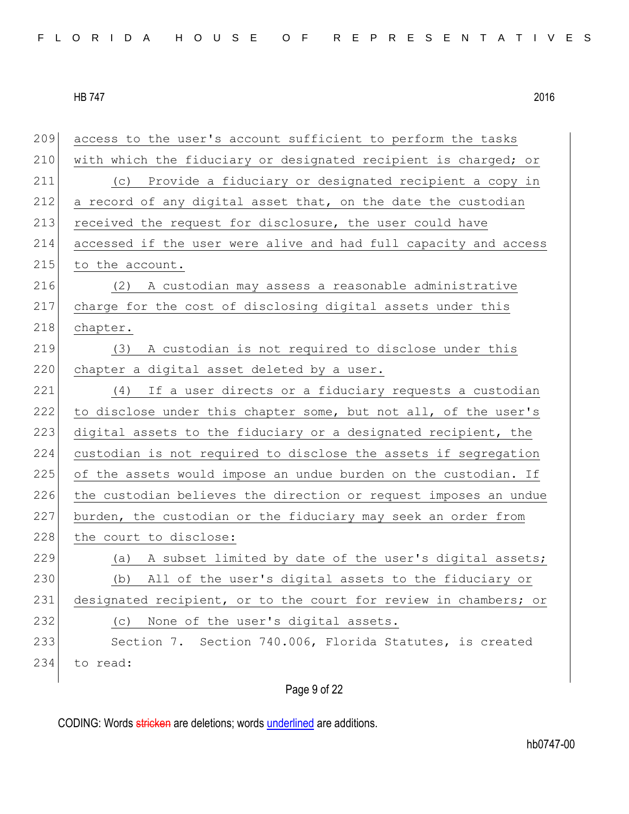| 209 | access to the user's account sufficient to perform the tasks     |
|-----|------------------------------------------------------------------|
| 210 | with which the fiduciary or designated recipient is charged; or  |
| 211 | (c) Provide a fiduciary or designated recipient a copy in        |
| 212 | a record of any digital asset that, on the date the custodian    |
| 213 | received the request for disclosure, the user could have         |
| 214 | accessed if the user were alive and had full capacity and access |
| 215 | to the account.                                                  |
| 216 | (2) A custodian may assess a reasonable administrative           |
| 217 | charge for the cost of disclosing digital assets under this      |
| 218 | chapter.                                                         |
| 219 | A custodian is not required to disclose under this<br>(3)        |
| 220 | chapter a digital asset deleted by a user.                       |
| 221 | If a user directs or a fiduciary requests a custodian<br>(4)     |
| 222 | to disclose under this chapter some, but not all, of the user's  |
| 223 | digital assets to the fiduciary or a designated recipient, the   |
| 224 | custodian is not required to disclose the assets if segregation  |
| 225 | of the assets would impose an undue burden on the custodian. If  |
| 226 | the custodian believes the direction or request imposes an undue |
| 227 | burden, the custodian or the fiduciary may seek an order from    |
| 228 | the court to disclose:                                           |
| 229 | A subset limited by date of the user's digital assets;<br>(a)    |
| 230 | All of the user's digital assets to the fiduciary or<br>(b)      |
| 231 | designated recipient, or to the court for review in chambers; or |
| 232 | None of the user's digital assets.<br>(C)                        |
| 233 | Section 7. Section 740.006, Florida Statutes, is created         |
| 234 | to read:                                                         |
|     |                                                                  |

# Page 9 of 22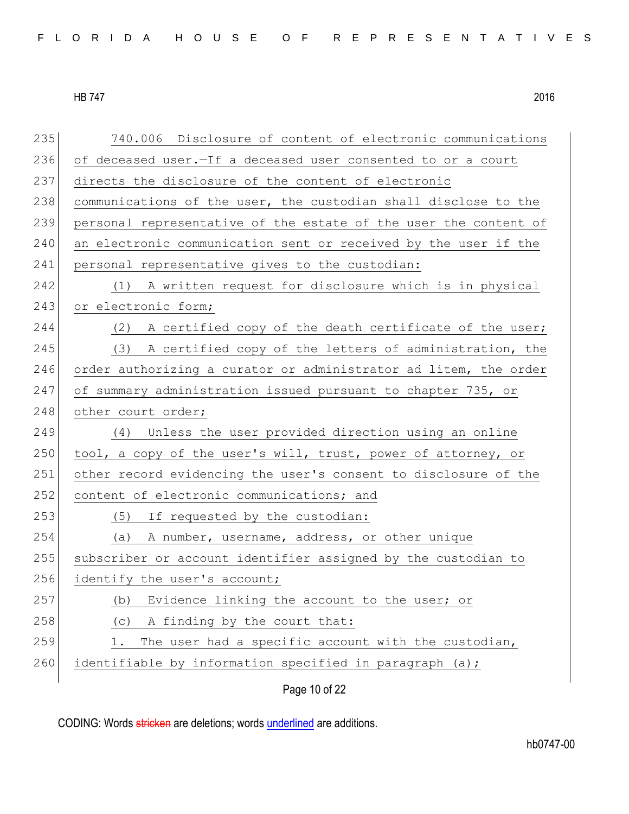235 740.006 Disclosure of content of electronic communications 236 of deceased user.-If a deceased user consented to or a court 237 directs the disclosure of the content of electronic 238 communications of the user, the custodian shall disclose to the 239 personal representative of the estate of the user the content of 240 an electronic communication sent or received by the user if the 241 personal representative gives to the custodian: 242 (1) A written request for disclosure which is in physical 243 or electronic form; 244 (2) A certified copy of the death certificate of the user; 245 (3) A certified copy of the letters of administration, the 246 order authorizing a curator or administrator ad litem, the order 247 of summary administration issued pursuant to chapter 735, or 248 other court order; 249 (4) Unless the user provided direction using an online 250 tool, a copy of the user's will, trust, power of attorney, or 251 other record evidencing the user's consent to disclosure of the 252 content of electronic communications; and 253 (5) If requested by the custodian: 254 (a) A number, username, address, or other unique 255 subscriber or account identifier assigned by the custodian to 256 identify the user's account;  $257$  (b) Evidence linking the account to the user; or 258 (c) A finding by the court that:  $259$  1. The user had a specific account with the custodian, 260 identifiable by information specified in paragraph (a);

Page 10 of 22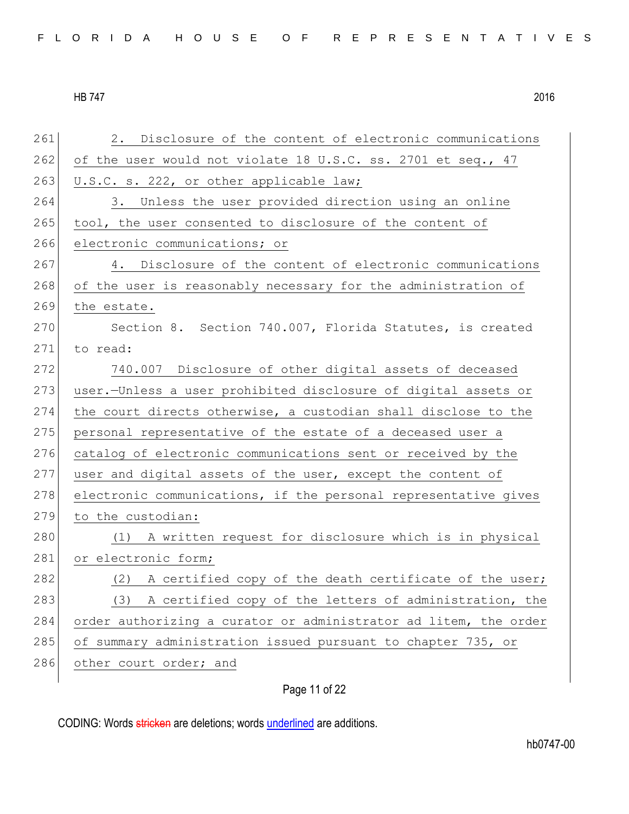| 261 | Disclosure of the content of electronic communications<br>2.     |
|-----|------------------------------------------------------------------|
| 262 | of the user would not violate 18 U.S.C. ss. 2701 et seq., 47     |
| 263 | U.S.C. s. 222, or other applicable law;                          |
| 264 | Unless the user provided direction using an online<br>3.         |
| 265 | tool, the user consented to disclosure of the content of         |
| 266 | electronic communications; or                                    |
| 267 | 4. Disclosure of the content of electronic communications        |
| 268 | of the user is reasonably necessary for the administration of    |
| 269 | the estate.                                                      |
| 270 | Section 8. Section 740.007, Florida Statutes, is created         |
| 271 | to read:                                                         |
| 272 | 740.007 Disclosure of other digital assets of deceased           |
| 273 | user.-Unless a user prohibited disclosure of digital assets or   |
| 274 | the court directs otherwise, a custodian shall disclose to the   |
| 275 | personal representative of the estate of a deceased user a       |
| 276 | catalog of electronic communications sent or received by the     |
| 277 | user and digital assets of the user, except the content of       |
| 278 | electronic communications, if the personal representative gives  |
| 279 | to the custodian:                                                |
| 280 | (1) A written request for disclosure which is in physical        |
| 281 | or electronic form;                                              |
| 282 | (2) A certified copy of the death certificate of the user;       |
| 283 | A certified copy of the letters of administration, the<br>(3)    |
| 284 | order authorizing a curator or administrator ad litem, the order |
| 285 | of summary administration issued pursuant to chapter 735, or     |
| 286 | other court order; and                                           |
|     |                                                                  |

# Page 11 of 22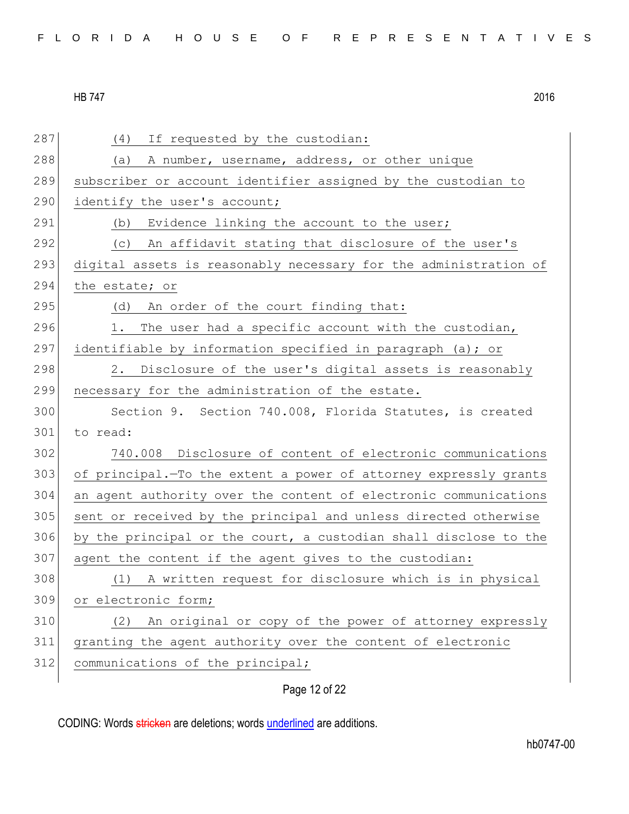| 287 | If requested by the custodian:<br>(4)                            |
|-----|------------------------------------------------------------------|
| 288 | (a) A number, username, address, or other unique                 |
| 289 | subscriber or account identifier assigned by the custodian to    |
| 290 | identify the user's account;                                     |
| 291 | (b) Evidence linking the account to the user;                    |
| 292 | (c) An affidavit stating that disclosure of the user's           |
| 293 | digital assets is reasonably necessary for the administration of |
| 294 | the estate; or                                                   |
| 295 | (d)<br>An order of the court finding that:                       |
| 296 | The user had a specific account with the custodian,<br>1.        |
| 297 | identifiable by information specified in paragraph (a); or       |
| 298 | 2. Disclosure of the user's digital assets is reasonably         |
| 299 | necessary for the administration of the estate.                  |
| 300 | Section 9. Section 740.008, Florida Statutes, is created         |
| 301 | to read:                                                         |
| 302 | 740.008 Disclosure of content of electronic communications       |
| 303 | of principal. To the extent a power of attorney expressly grants |
| 304 | an agent authority over the content of electronic communications |
| 305 | sent or received by the principal and unless directed otherwise  |
| 306 | by the principal or the court, a custodian shall disclose to the |
| 307 | agent the content if the agent gives to the custodian:           |
| 308 | (1) A written request for disclosure which is in physical        |
| 309 | or electronic form;                                              |
| 310 | An original or copy of the power of attorney expressly<br>(2)    |
| 311 | granting the agent authority over the content of electronic      |
| 312 | communications of the principal;                                 |
|     |                                                                  |

# Page 12 of 22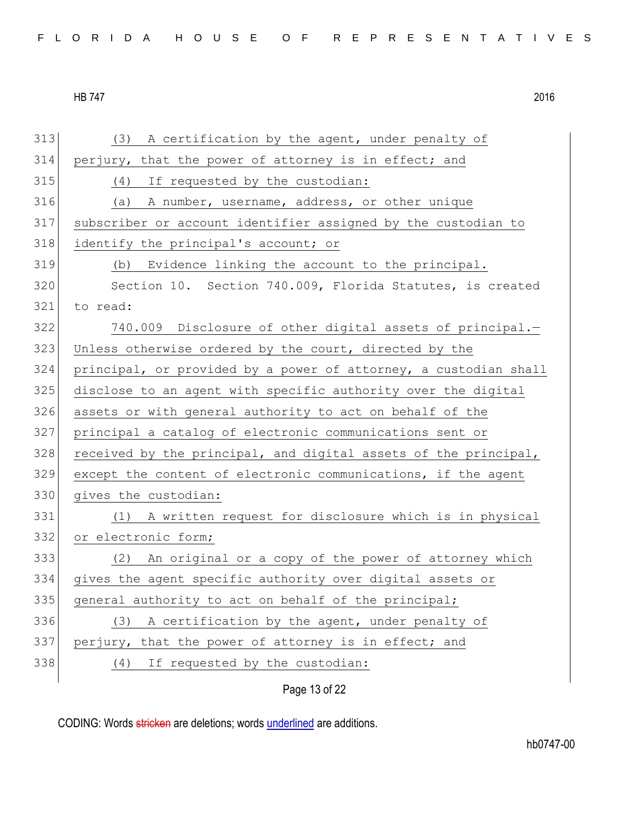| 313 | (3) A certification by the agent, under penalty of               |
|-----|------------------------------------------------------------------|
| 314 | perjury, that the power of attorney is in effect; and            |
| 315 | (4)<br>If requested by the custodian:                            |
| 316 | (a) A number, username, address, or other unique                 |
| 317 | subscriber or account identifier assigned by the custodian to    |
| 318 | identify the principal's account; or                             |
| 319 | Evidence linking the account to the principal.<br>(b)            |
| 320 | Section 10. Section 740.009, Florida Statutes, is created        |
| 321 | to read:                                                         |
| 322 | 740.009 Disclosure of other digital assets of principal.-        |
| 323 | Unless otherwise ordered by the court, directed by the           |
| 324 | principal, or provided by a power of attorney, a custodian shall |
| 325 | disclose to an agent with specific authority over the digital    |
| 326 | assets or with general authority to act on behalf of the         |
| 327 | principal a catalog of electronic communications sent or         |
| 328 | received by the principal, and digital assets of the principal,  |
| 329 | except the content of electronic communications, if the agent    |
| 330 | gives the custodian:                                             |
| 331 | (1) A written request for disclosure which is in physical        |
| 332 | or electronic form;                                              |
| 333 | (2) An original or a copy of the power of attorney which         |
| 334 | gives the agent specific authority over digital assets or        |
| 335 | general authority to act on behalf of the principal;             |
| 336 | A certification by the agent, under penalty of<br>(3)            |
| 337 | perjury, that the power of attorney is in effect; and            |
| 338 | If requested by the custodian:<br>(4)                            |
|     | Page 13 of 22                                                    |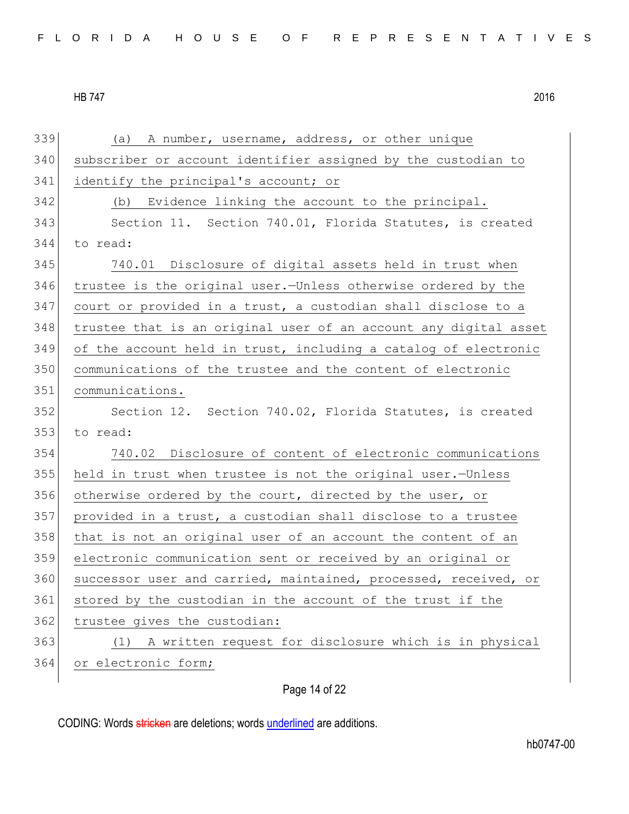(a) A number, username, address, or other unique subscriber or account identifier assigned by the custodian to 341 identify the principal's account; or (b) Evidence linking the account to the principal. 343 Section 11. Section 740.01, Florida Statutes, is created to read: 740.01 Disclosure of digital assets held in trust when trustee is the original user.—Unless otherwise ordered by the court or provided in a trust, a custodian shall disclose to a trustee that is an original user of an account any digital asset of the account held in trust, including a catalog of electronic communications of the trustee and the content of electronic communications. 352 Section 12. Section 740.02, Florida Statutes, is created to read: 740.02 Disclosure of content of electronic communications held in trust when trustee is not the original user.—Unless otherwise ordered by the court, directed by the user, or provided in a trust, a custodian shall disclose to a trustee 358 that is not an original user of an account the content of an electronic communication sent or received by an original or 360 successor user and carried, maintained, processed, received, or stored by the custodian in the account of the trust if the 362 trustee gives the custodian: (1) A written request for disclosure which is in physical 364 or electronic form;

Page 14 of 22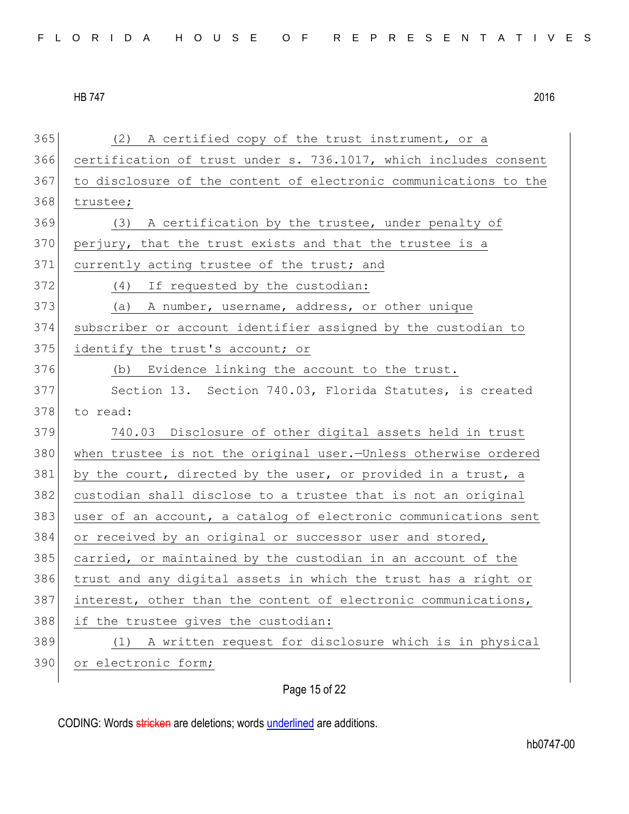| 365 | (2) A certified copy of the trust instrument, or a               |
|-----|------------------------------------------------------------------|
| 366 | certification of trust under s. 736.1017, which includes consent |
| 367 | to disclosure of the content of electronic communications to the |
| 368 | trustee;                                                         |
| 369 | (3) A certification by the trustee, under penalty of             |
| 370 | perjury, that the trust exists and that the trustee is a         |
| 371 | currently acting trustee of the trust; and                       |
| 372 | (4) If requested by the custodian:                               |
| 373 | (a) A number, username, address, or other unique                 |
| 374 | subscriber or account identifier assigned by the custodian to    |
| 375 | identify the trust's account; or                                 |
| 376 | (b) Evidence linking the account to the trust.                   |
| 377 | Section 13. Section 740.03, Florida Statutes, is created         |
| 378 | to read:                                                         |
| 379 | 740.03 Disclosure of other digital assets held in trust          |
| 380 | when trustee is not the original user. Unless otherwise ordered  |
| 381 | by the court, directed by the user, or provided in a trust, a    |
| 382 | custodian shall disclose to a trustee that is not an original    |
| 383 | user of an account, a catalog of electronic communications sent  |
| 384 | or received by an original or successor user and stored,         |
| 385 | carried, or maintained by the custodian in an account of the     |
| 386 | trust and any digital assets in which the trust has a right or   |
| 387 | interest, other than the content of electronic communications,   |
| 388 | if the trustee gives the custodian:                              |
| 389 | A written request for disclosure which is in physical<br>(1)     |
| 390 | or electronic form;                                              |
|     |                                                                  |

Page 15 of 22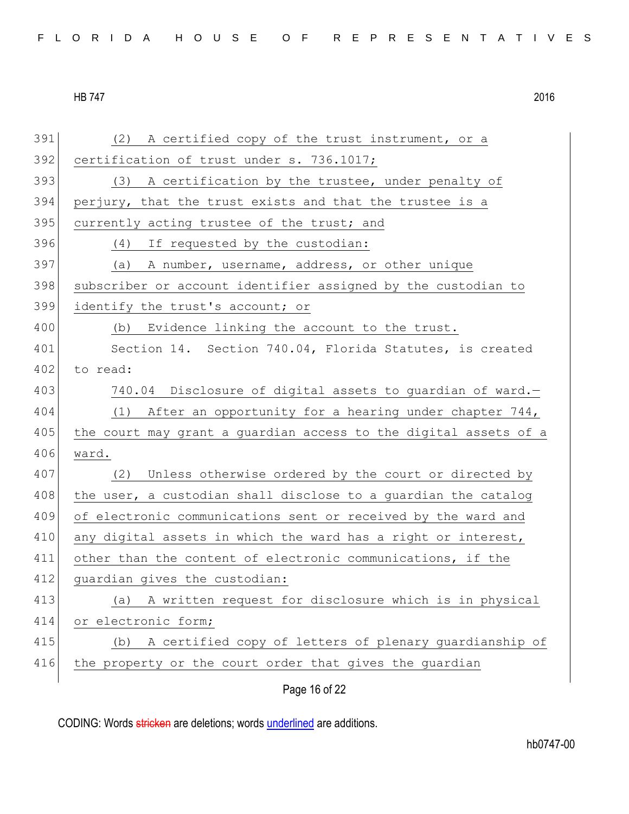| 391 | (2) A certified copy of the trust instrument, or a               |
|-----|------------------------------------------------------------------|
| 392 | certification of trust under s. 736.1017;                        |
| 393 | (3) A certification by the trustee, under penalty of             |
| 394 | perjury, that the trust exists and that the trustee is a         |
| 395 | currently acting trustee of the trust; and                       |
| 396 | (4) If requested by the custodian:                               |
| 397 | (a) A number, username, address, or other unique                 |
| 398 | subscriber or account identifier assigned by the custodian to    |
| 399 | identify the trust's account; or                                 |
| 400 | (b) Evidence linking the account to the trust.                   |
| 401 | Section 14. Section 740.04, Florida Statutes, is created         |
| 402 | to read:                                                         |
| 403 | 740.04 Disclosure of digital assets to guardian of ward.-        |
| 404 | (1) After an opportunity for a hearing under chapter 744,        |
| 405 | the court may grant a guardian access to the digital assets of a |
| 406 | ward.                                                            |
| 407 | (2) Unless otherwise ordered by the court or directed by         |
| 408 | the user, a custodian shall disclose to a guardian the catalog   |
| 409 | of electronic communications sent or received by the ward and    |
| 410 | any digital assets in which the ward has a right or interest,    |
| 411 | other than the content of electronic communications, if the      |
| 412 | guardian gives the custodian:                                    |
| 413 | A written request for disclosure which is in physical<br>(a)     |
| 414 | or electronic form;                                              |
| 415 | A certified copy of letters of plenary guardianship of<br>(b)    |
| 416 | the property or the court order that gives the guardian          |
|     | Page 16 of 22                                                    |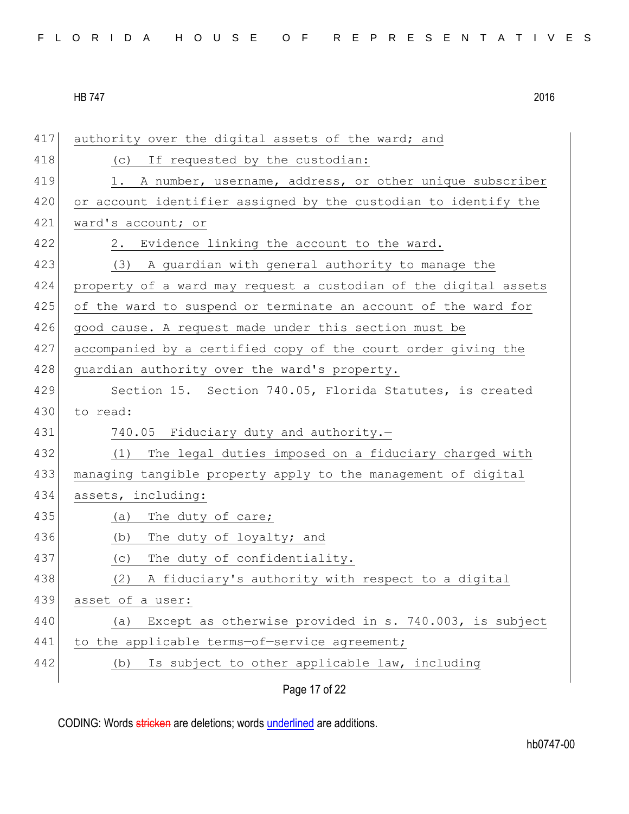| 417 | authority over the digital assets of the ward; and               |
|-----|------------------------------------------------------------------|
| 418 | (c) If requested by the custodian:                               |
| 419 | 1. A number, username, address, or other unique subscriber       |
| 420 | or account identifier assigned by the custodian to identify the  |
| 421 | ward's account; or                                               |
| 422 | 2. Evidence linking the account to the ward.                     |
| 423 | (3) A guardian with general authority to manage the              |
| 424 | property of a ward may request a custodian of the digital assets |
| 425 | of the ward to suspend or terminate an account of the ward for   |
| 426 | good cause. A request made under this section must be            |
| 427 | accompanied by a certified copy of the court order giving the    |
| 428 | guardian authority over the ward's property.                     |
| 429 | Section 15. Section 740.05, Florida Statutes, is created         |
| 430 | to read:                                                         |
| 431 | 740.05 Fiduciary duty and authority.-                            |
| 432 | (1) The legal duties imposed on a fiduciary charged with         |
| 433 | managing tangible property apply to the management of digital    |
| 434 | assets, including:                                               |
| 435 | The duty of care;<br>(a)                                         |
| 436 | (b)<br>The duty of loyalty; and                                  |
| 437 | The duty of confidentiality.<br>(C)                              |
| 438 | (2)<br>A fiduciary's authority with respect to a digital         |
| 439 | asset of a user:                                                 |
| 440 | Except as otherwise provided in s. 740.003, is subject<br>(a)    |
| 441 | to the applicable terms-of-service agreement;                    |
| 442 | Is subject to other applicable law, including<br>(b)             |
|     | Page 17 of 22                                                    |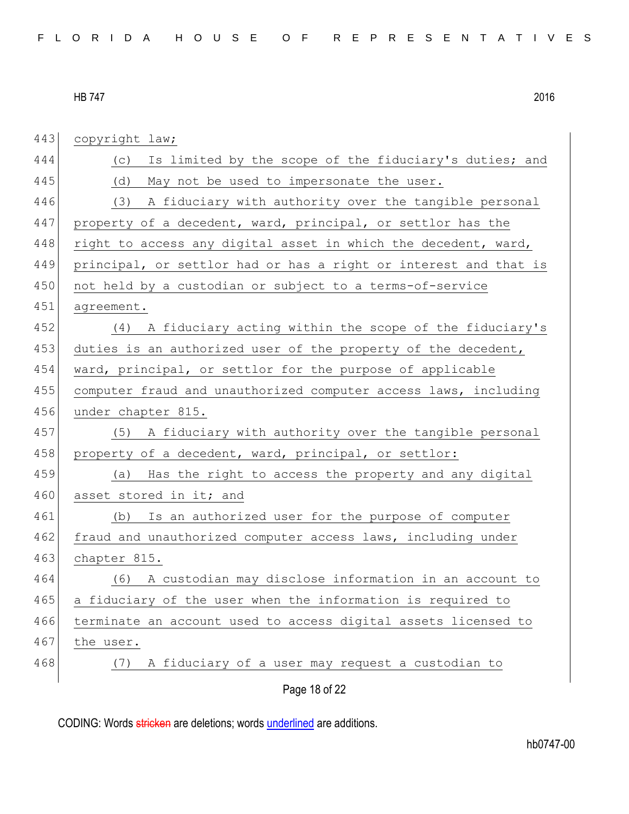| 443 | copyright law;                                                   |
|-----|------------------------------------------------------------------|
| 444 | Is limited by the scope of the fiduciary's duties; and<br>(C)    |
| 445 | (d)<br>May not be used to impersonate the user.                  |
| 446 | (3) A fiduciary with authority over the tangible personal        |
| 447 | property of a decedent, ward, principal, or settlor has the      |
| 448 | right to access any digital asset in which the decedent, ward,   |
| 449 | principal, or settlor had or has a right or interest and that is |
| 450 | not held by a custodian or subject to a terms-of-service         |
| 451 | agreement.                                                       |
| 452 | (4) A fiduciary acting within the scope of the fiduciary's       |
| 453 | duties is an authorized user of the property of the decedent,    |
| 454 | ward, principal, or settlor for the purpose of applicable        |
| 455 | computer fraud and unauthorized computer access laws, including  |
| 456 | under chapter 815.                                               |
| 457 | (5) A fiduciary with authority over the tangible personal        |
| 458 | property of a decedent, ward, principal, or settlor:             |
| 459 | Has the right to access the property and any digital<br>(a)      |
| 460 | asset stored in it; and                                          |
| 461 | Is an authorized user for the purpose of computer<br>(b)         |
| 462 | fraud and unauthorized computer access laws, including under     |
| 463 | chapter 815.                                                     |
| 464 | (6) A custodian may disclose information in an account to        |
| 465 | a fiduciary of the user when the information is required to      |
| 466 | terminate an account used to access digital assets licensed to   |
| 467 | the user.                                                        |
| 468 | A fiduciary of a user may request a custodian to<br>(7)          |
|     | Page 18 of 22                                                    |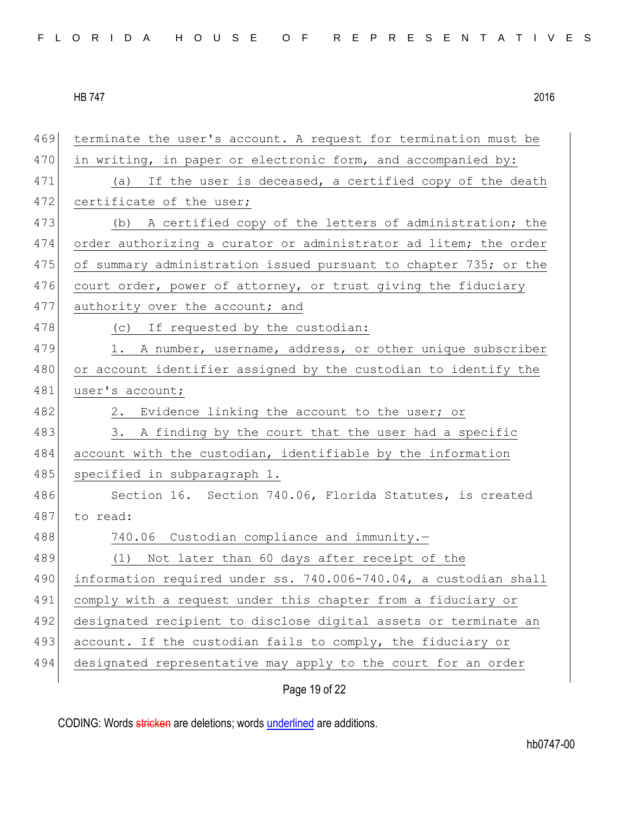| 469 | terminate the user's account. A request for termination must be  |
|-----|------------------------------------------------------------------|
| 470 | in writing, in paper or electronic form, and accompanied by:     |
| 471 | (a) If the user is deceased, a certified copy of the death       |
| 472 | certificate of the user;                                         |
| 473 | A certified copy of the letters of administration; the<br>(b)    |
| 474 | order authorizing a curator or administrator ad litem; the order |
| 475 | of summary administration issued pursuant to chapter 735; or the |
| 476 | court order, power of attorney, or trust giving the fiduciary    |
| 477 | authority over the account; and                                  |
| 478 | (c) If requested by the custodian:                               |
| 479 | 1. A number, username, address, or other unique subscriber       |
| 480 | or account identifier assigned by the custodian to identify the  |
| 481 | user's account;                                                  |
| 482 | 2. Evidence linking the account to the user; or                  |
| 483 | 3. A finding by the court that the user had a specific           |
| 484 | account with the custodian, identifiable by the information      |
| 485 | specified in subparagraph 1.                                     |
| 486 | Section 16. Section 740.06, Florida Statutes, is created         |
| 487 | to read:                                                         |
| 488 | 740.06 Custodian compliance and immunity.-                       |
| 489 | Not later than 60 days after receipt of the<br>(1)               |
| 490 | information required under ss. 740.006-740.04, a custodian shall |
| 491 | comply with a request under this chapter from a fiduciary or     |
| 492 | designated recipient to disclose digital assets or terminate an  |
| 493 | account. If the custodian fails to comply, the fiduciary or      |
| 494 | designated representative may apply to the court for an order    |
|     |                                                                  |

Page 19 of 22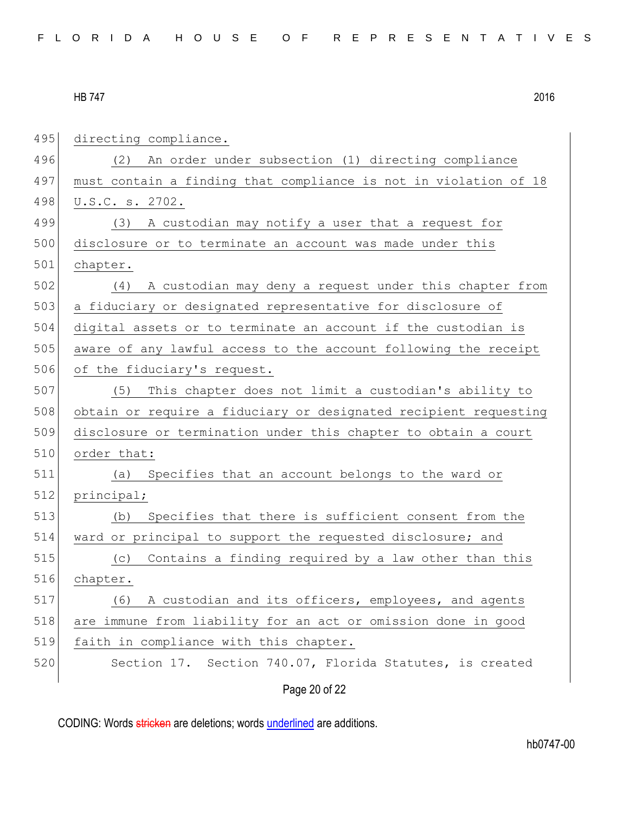| 495 | directing compliance.                                            |
|-----|------------------------------------------------------------------|
| 496 | An order under subsection (1) directing compliance<br>(2)        |
| 497 | must contain a finding that compliance is not in violation of 18 |
| 498 | U.S.C. s. 2702.                                                  |
| 499 | A custodian may notify a user that a request for<br>(3)          |
| 500 | disclosure or to terminate an account was made under this        |
| 501 | chapter.                                                         |
| 502 | A custodian may deny a request under this chapter from<br>(4)    |
| 503 | a fiduciary or designated representative for disclosure of       |
| 504 | digital assets or to terminate an account if the custodian is    |
| 505 | aware of any lawful access to the account following the receipt  |
| 506 | of the fiduciary's request.                                      |
| 507 | This chapter does not limit a custodian's ability to<br>(5)      |
| 508 | obtain or require a fiduciary or designated recipient requesting |
| 509 | disclosure or termination under this chapter to obtain a court   |
| 510 | order that:                                                      |
| 511 | Specifies that an account belongs to the ward or<br>(a)          |
| 512 | principal;                                                       |
| 513 | Specifies that there is sufficient consent from the<br>(b)       |
| 514 | ward or principal to support the requested disclosure; and       |
| 515 | Contains a finding required by a law other than this<br>(C)      |
| 516 | chapter.                                                         |
| 517 | A custodian and its officers, employees, and agents<br>(6)       |
| 518 | are immune from liability for an act or omission done in good    |
| 519 | faith in compliance with this chapter.                           |
| 520 | Section 17. Section 740.07, Florida Statutes, is created         |
|     | Page 20 of 22                                                    |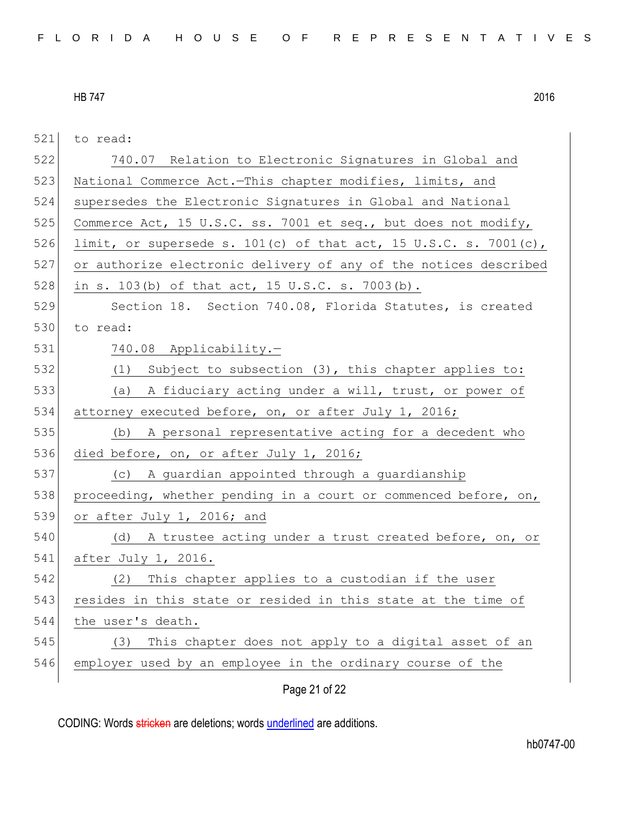521 to read: 522 740.07 Relation to Electronic Signatures in Global and 523 National Commerce Act.-This chapter modifies, limits, and 524 supersedes the Electronic Signatures in Global and National 525 Commerce Act, 15 U.S.C. ss. 7001 et seq., but does not modify, 526 limit, or supersede s. 101(c) of that act, 15 U.S.C. s. 7001(c), 527 or authorize electronic delivery of any of the notices described 528 in s. 103(b) of that act, 15 U.S.C. s. 7003(b). 529 Section 18. Section 740.08, Florida Statutes, is created 530 to read: 531 740.08 Applicability.— 532 (1) Subject to subsection (3), this chapter applies to: 533 (a) A fiduciary acting under a will, trust, or power of 534 attorney executed before, on, or after July 1, 2016; 535 (b) A personal representative acting for a decedent who 536 died before, on, or after July 1, 2016; 537 (c) A guardian appointed through a guardianship 538 proceeding, whether pending in a court or commenced before, on, 539 or after July 1, 2016; and 540 (d) A trustee acting under a trust created before, on, or 541 after July 1, 2016. 542 (2) This chapter applies to a custodian if the user 543 resides in this state or resided in this state at the time of 544 the user's death. 545 (3) This chapter does not apply to a digital asset of an

546 employer used by an employee in the ordinary course of the

Page 21 of 22